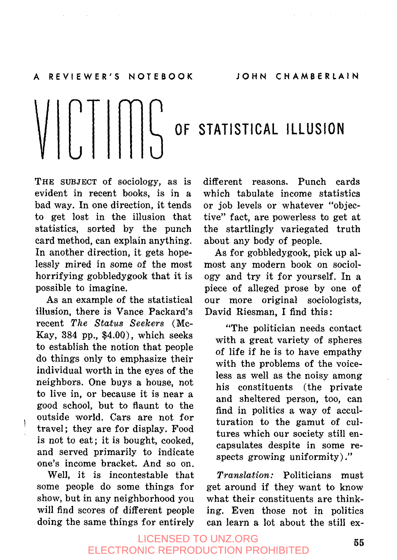# $\left[\bigcup_{i=1}^{n} \left[\bigcup_{i=1}^{n} \left[\bigcup_{i=1}^{n} \left(\bigcup_{i=1}^{n} \left\{X_i\right\}_{i=1}^{n}\right)\right]\right]\right]$

**THE SUBJECT** Of sociology, as is evident in recent books, is in a bad way. In one direction, it tends to get lost in the illusion that statistics, sorted by the punch card method, can explain anything. In another direction, it gets hopelessly mired in some of the most horrifying gobbledygook that it is possible to imagine.

As an example of the statistical illusion, there is Vance Packard's recent *The Status Seekers* (Mc-Kay, **384** pp., **\$4.00),** which seeks to establish the notion that people do things only to emphasize their individual worth in the eyes of the neighbors. One buys a house, not to live in, or because it is near a good school, but to flaunt to the outside world. Cars are not for travel; they are for display. Food is not to eat; it is bought, cooked, and served primarily to indicate one's income bracket. And so on.

some people do some things for get around if they want to know show, but in any neighborhood you what their constituents are thinkwill find scores of different people ing. Even those not in politics doing the same things for entirely can learn a lot about the still ex-

different reasons. Punch cards which tabulate income statistics or job levels or whatever "objective" fact, are powerless to get at the startlingly variegated truth about any body of people.

As for gobbledygook, pick up almost any modern book on sociology and try it for yourself. In a piece of alleged prose by one of our more original sociologists, David Riesman, I find this:

"The politician needs contact with a great variety of spheres of life if he is to have empathy with the problems of the voiceless as well as the noisy among his constituents (the private and sheltered person, too, can find in politics a way of acculturation to the gamut of cultures which our society still encapsulates despite in some respects growing uniformity) ,"

Well, it is incontestable that *Translation:* Politicians must

# **<sup>55</sup>**LICENSED TO UNZ.ORG ELECTRONIC REPRODUCTION PROHIBITED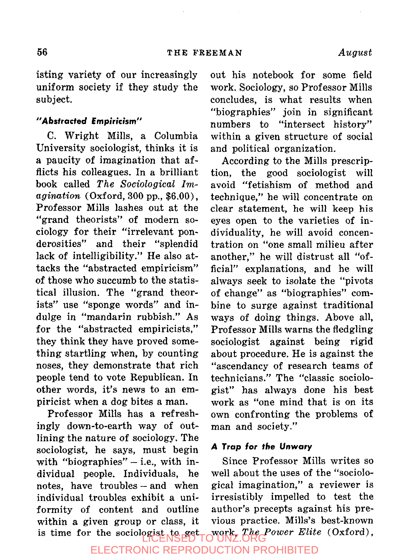isting variety of our increasingly uniform society if they study the subject.

## **"Abstracted Empiricism"**

**C.** Wright Mills, a Columbia University sociologist, thinks it is a paucity of imagination that afflicts his colleagues. In a brilliant book called *The Sociological Imagination* (Oxford, *300* pp., **\$6.00).**  Professor Mills lashes out at the "grand theorists" of modern sociology for their "irrelevant ponderosities" and their "splendid lack of intelligibility." He also attacks the "abstracted empiricism" of those who succumb to the statistical illusion. The "grand theorists'' use "sponge words" and indulge in "mandarin rubbish." As for the "abstracted empiricists," they think they have proved something startling when, by counting noses, they demonstrate that rich people tend to vote Republican. In other words, it's news to an empiricist when a dog bites a man.

Professor Mills has a refreshingly down-to-earth way of outlining the nature of sociology. The sociologist, he says, must begin with "biographies"  $-$  i.e., with in-<br>dividual people. Individuals. he dividual people. Individuals, notes, have troubles -- and when individual troubles exhibit a uniformity of content and outline within a given group or class, it **is** time for the sociologist to get out his notebook for some field work. Sociology, so Professor Mills concludes, is what results when "biographies" join in significant numbers to "intersect history" within a given structure of social and political organization.

According to the Mills prescription, the good sociologist will avoid "fetishism of method and technique," he will concentrate on clear statement, he will keep his eyes open to the varieties of individuality, he will avoid concentration on "one small milieu after another," he will distrust all "official" explanations, and he will always seek to isolate the "pivots of change" as "biographies" combine to surge against traditional ways of doing things. Above all, Professor Mills warns the fledgling sociologist against being rigid about procedure. He is against the "ascendancy of research teams of technicians." The "classic sociologist" has always done his best work as "one mind that is on its own confronting the problems of man and society."

## *A Trap* **for the** *Unwary*

Since Professor Mills writes so well about the uses of the "sociological imagination," a reviewer is irresistibly impelled to test the author's precepts against his previous practice. Mills's best-known work, *The Power Elite* (Oxford),

ELECTRONIC REPRODUCTION PROHIBITED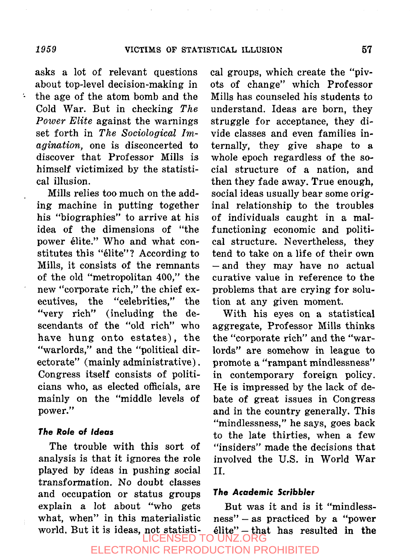asks a lot of relevant questions about top-level decision-making in the age of the atom bomb and the Cold War. But in checking *The Power Elite* against the warnings set forth in *The Sociological Imagination,* one is disconcerted to discover that Professor Mills is himself victimized by the statistical illusion.

Mills relies too much on the adding machine in putting together his "biographies" to arrive at his idea of the dimensions of "the power élite." Who and what constitutes this "élite"? According to Mills, it consists of the remnants of the old "metropolitan 400," the new "corporate rich," the chief executives, the "celebrities," the "very rich" (including the descendants of the "old rich" who have hung onto estates), the "warlords," and the "political directorate" (mainly administrative) . Congress itself consists of politicians who, as elected officials, are mainly on the "middle levels of power."

#### *The Role* **of** *Ideas*

The trouble with this sort of analysis is that it ignores the role played by ideas in pushing social transformation. No doubt classes and occupation or status groups explain a lot about "who gets what, when" in this materialistic world. But it is ideas, not statistical groups, which create the "pivots of change" which Professor Mills has counseled his students to understand. Ideas are born, they struggle for acceptance, they divide classes and even families internally, they give shape to **a**  whole epoch regardless of the social structure of a nation, and then they fade away. True enough, social ideas usually bear some original relationship to the troubles of individuals caught in a malfunctioning economic and political structure. Nevertheless, they tend to take on a life of their own -and they may have no actual curative value in reference to the problems that are crying for solution at any given moment.

With his eyes on a statistical aggregate, Professor Mills thinks the "corporate rich" and the "warlords" are somehow in league to promote a "rampant mindlessness" in contemporary foreign policy. He is impressed by the lack of debate of great issues in Congress and in the country generally. This "mindlessness," he says, goes back to the late thirties, when a few "insiders" made the decisions that involved the U.S. in World War 11.

#### *The Academic Scribbler*

But was it and is it "mindless $ness'' - as$  practiced by a "power"  $\text{elite}$  - that has resulted in the SED TO UNZ.ORG

# **ECTRONIC REPRODUCTION PROHIBITED**

÷,